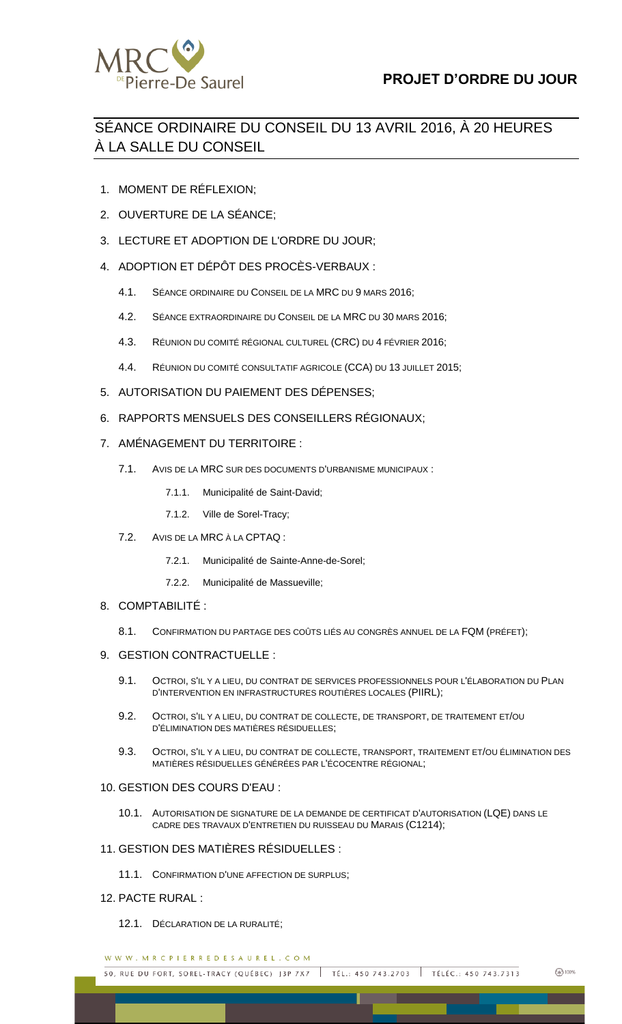

## SÉANCE ORDINAIRE DU CONSEIL DU 13 AVRIL 2016, À 20 HEURES À LA SALLE DU CONSEIL

- 1. MOMENT DE RÉFLEXION;
- 2. OUVERTURE DE LA SÉANCE;
- 3. LECTURE ET ADOPTION DE L'ORDRE DU JOUR;
- 4. ADOPTION ET DÉPÔT DES PROCÈS-VERBAUX :
	- 4.1. SÉANCE ORDINAIRE DU CONSEIL DE LA MRC DU 9 MARS 2016;
	- 4.2. SÉANCE EXTRAORDINAIRE DU CONSEIL DE LA MRC DU 30 MARS 2016;
	- 4.3. RÉUNION DU COMITÉ RÉGIONAL CULTUREL (CRC) DU 4 FÉVRIER 2016;
	- 4.4. RÉUNION DU COMITÉ CONSULTATIF AGRICOLE (CCA) DU 13 JUILLET 2015;
- 5. AUTORISATION DU PAIEMENT DES DÉPENSES;
- 6. RAPPORTS MENSUELS DES CONSEILLERS RÉGIONAUX;
- 7. AMÉNAGEMENT DU TERRITOIRE :
	- 7.1. AVIS DE LA MRC SUR DES DOCUMENTS D'URBANISME MUNICIPAUX :
		- 7.1.1. Municipalité de Saint-David;
		- 7.1.2. Ville de Sorel-Tracy;
	- 7.2. AVIS DE LA MRC À LA CPTAQ :
		- 7.2.1. Municipalité de Sainte-Anne-de-Sorel;
		- 7.2.2. Municipalité de Massueville;
- 8. COMPTABILITÉ :
	- 8.1. CONFIRMATION DU PARTAGE DES COÛTS LIÉS AU CONGRÈS ANNUEL DE LA FQM (PRÉFET);
- 9. GESTION CONTRACTUELLE :
	- 9.1. OCTROI, S'IL Y A LIEU, DU CONTRAT DE SERVICES PROFESSIONNELS POUR L'ÉLABORATION DU PLAN D'INTERVENTION EN INFRASTRUCTURES ROUTIÈRES LOCALES (PIIRL);
	- 9.2. OCTROI, S'IL Y A LIEU, DU CONTRAT DE COLLECTE, DE TRANSPORT, DE TRAITEMENT ET/OU D'ÉLIMINATION DES MATIÈRES RÉSIDUELLES;
	- 9.3. OCTROI, S'IL Y A LIEU, DU CONTRAT DE COLLECTE, TRANSPORT, TRAITEMENT ET/OU ÉLIMINATION DES MATIÈRES RÉSIDUELLES GÉNÉRÉES PAR L'ÉCOCENTRE RÉGIONAL;

## 10. GESTION DES COURS D'EAU :

10.1. AUTORISATION DE SIGNATURE DE LA DEMANDE DE CERTIFICAT D'AUTORISATION (LQE) DANS LE CADRE DES TRAVAUX D'ENTRETIEN DU RUISSEAU DU MARAIS (C1214);

## 11. GESTION DES MATIÈRES RÉSIDUELLES :

11.1. CONFIRMATION D'UNE AFFECTION DE SURPLUS;

## 12. PACTE RURAL :

12.1. DÉCLARATION DE LA RURALITÉ;

WWW.MRCPIERREDESAUREL.COM